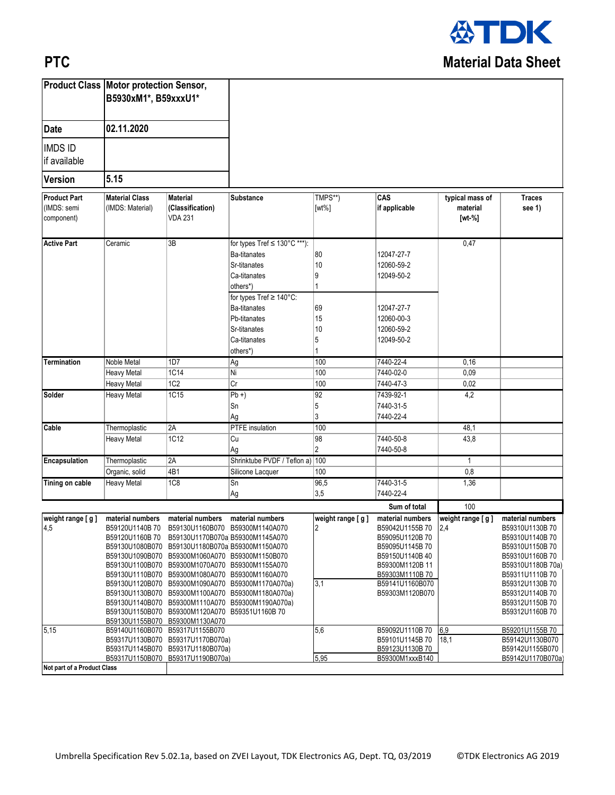

## **PTC**

|                                                  | <b>Product Class Motor protection Sensor,</b><br>B5930xM1*, B59xxxU1*<br>02.11.2020 |                                                       |                                                   |                     |                      |                                       |                         |
|--------------------------------------------------|-------------------------------------------------------------------------------------|-------------------------------------------------------|---------------------------------------------------|---------------------|----------------------|---------------------------------------|-------------------------|
| <b>Date</b>                                      |                                                                                     |                                                       |                                                   |                     |                      |                                       |                         |
| <b>IMDS ID</b><br>if available                   |                                                                                     |                                                       |                                                   |                     |                      |                                       |                         |
| <b>Version</b>                                   | 5.15                                                                                |                                                       |                                                   |                     |                      |                                       |                         |
| <b>Product Part</b><br>(IMDS: semi<br>component) | <b>Material Class</b><br>(IMDS: Material)                                           | <b>Material</b><br>(Classification)<br><b>VDA 231</b> | Substance                                         | TMPS**)<br>$[wt\%]$ | CAS<br>if applicable | typical mass of<br>material<br>[wt-%] | <b>Traces</b><br>see 1) |
| <b>Active Part</b>                               | Ceramic                                                                             | 3B                                                    | for types Tref ≤ 130°C ***):                      |                     |                      | 0,47                                  |                         |
|                                                  |                                                                                     |                                                       | Ba-titanates                                      | 80                  | 12047-27-7           |                                       |                         |
|                                                  |                                                                                     |                                                       | Sr-titanates                                      | 10                  | 12060-59-2           |                                       |                         |
|                                                  |                                                                                     |                                                       | Ca-titanates                                      | 9                   | 12049-50-2           |                                       |                         |
|                                                  |                                                                                     |                                                       |                                                   |                     |                      |                                       |                         |
|                                                  |                                                                                     |                                                       | others*)                                          |                     |                      |                                       |                         |
|                                                  |                                                                                     |                                                       | for types Tref ≥ 140°C:                           |                     |                      |                                       |                         |
|                                                  |                                                                                     |                                                       | Ba-titanates                                      | 69                  | 12047-27-7           |                                       |                         |
|                                                  |                                                                                     |                                                       | Pb-titanates                                      | 15                  | 12060-00-3           |                                       |                         |
|                                                  |                                                                                     |                                                       | Sr-titanates                                      | 10                  | 12060-59-2           |                                       |                         |
|                                                  |                                                                                     |                                                       | Ca-titanates                                      | 5                   | 12049-50-2           |                                       |                         |
|                                                  |                                                                                     |                                                       | others*)                                          |                     |                      |                                       |                         |
| <b>Termination</b>                               | Noble Metal                                                                         | 1D7                                                   | Ag                                                | 100                 | 7440-22-4            | 0, 16                                 |                         |
|                                                  | <b>Heavy Metal</b>                                                                  | <b>1C14</b>                                           | ΙNί                                               | 100                 | 7440-02-0            | 0,09                                  |                         |
|                                                  | <b>Heavy Metal</b>                                                                  | 1C2                                                   | Cr                                                | 100                 | 7440-47-3            | 0,02                                  |                         |
| Solder                                           | <b>Heavy Metal</b>                                                                  | 1C15                                                  | $\overline{\mathsf{Pb+}}$                         | 92                  | 7439-92-1            | 4,2                                   |                         |
|                                                  |                                                                                     |                                                       | Sn                                                | 5                   | 7440-31-5            |                                       |                         |
|                                                  |                                                                                     |                                                       |                                                   | 3                   | 7440-22-4            |                                       |                         |
|                                                  |                                                                                     |                                                       | Ag                                                |                     |                      |                                       |                         |
| Cable                                            | Thermoplastic                                                                       | 2A                                                    | PTFE insulation                                   | 100                 |                      | 48,1                                  |                         |
|                                                  | <b>Heavy Metal</b>                                                                  | 1C12                                                  | Cu                                                | 98                  | 7440-50-8            | 43,8                                  |                         |
|                                                  |                                                                                     |                                                       | Ag                                                | $\overline{2}$      | 7440-50-8            |                                       |                         |
| Encapsulation                                    | Thermoplastic                                                                       | 2A                                                    | Shrinktube PVDF / Teflon a) 100                   |                     |                      | $\mathbf{1}$                          |                         |
|                                                  | Organic, solid                                                                      | 4B1                                                   | Silicone Lacquer                                  | 100                 |                      | 0,8                                   |                         |
| <b>Tining on cable</b>                           | Heavy Metal                                                                         | 1C8                                                   | Sn                                                | 96,5                | 7440-31-5            | 1,36                                  |                         |
|                                                  |                                                                                     |                                                       | Ag                                                | 3,5                 | 7440-22-4            |                                       |                         |
|                                                  |                                                                                     |                                                       |                                                   |                     | Sum of total         | 100                                   |                         |
| weight range [g]                                 |                                                                                     | material numbers material numbers                     | material numbers                                  | $w$ eight range [g] | material numbers     | weight range [g]                      | material numbers        |
| 4,5                                              |                                                                                     | B59120U1140B70 B59130U1160B070 B59300M1140A070        |                                                   |                     | B59042U1155B70       | 2,4                                   | B59310U1130B70          |
|                                                  | B59120U1160B70                                                                      | B59130U1170B070a B59300M1145A070                      |                                                   |                     | B59095U1120B70       |                                       | B59310U1140B70          |
|                                                  |                                                                                     | B59130U1080B070 B59130U1180B070a B59300M1150A070      |                                                   |                     | B59095U1145B70       |                                       | B59310U1150B70          |
|                                                  |                                                                                     | B59130U1090B070 B59300M1060A070 B59300M1150B070       |                                                   |                     | B59150U1140B40       |                                       | B59310U1160B70          |
|                                                  |                                                                                     | B59130U1100B070 B59300M1070A070 B59300M1155A070       |                                                   |                     | B59300M1120B 11      |                                       | B59310U1180B 70a)       |
|                                                  |                                                                                     | B59130U1110B070 B59300M1080A070 B59300M1160A070       |                                                   |                     | B59303M1110B70       |                                       | B59311U1110B70          |
|                                                  |                                                                                     |                                                       | B59130U1120B070 B59300M1090A070 B59300M1170A070a) | 3,1                 | B59141U1160B070      |                                       | B59312U1130B70          |
|                                                  |                                                                                     |                                                       | B59130U1130B070 B59300M1100A070 B59300M1180A070a) |                     | B59303M1120B070      |                                       | B59312U1140B 70         |
|                                                  |                                                                                     |                                                       | B59130U1140B070 B59300M1110A070 B59300M1190A070a) |                     |                      |                                       | B59312U1150B70          |
|                                                  |                                                                                     | B59130U1150B070 B59300M1120A070 B59351U1160B 70       |                                                   |                     |                      |                                       | B59312U1160B70          |
|                                                  |                                                                                     | B59130U1155B070 B59300M1130A070                       |                                                   |                     |                      |                                       |                         |
| 5,15                                             |                                                                                     | B59140U1160B070 B59317U1155B070                       |                                                   | 5,6                 | B59092U1110B70       | 6,9                                   | B59201U1155B70          |
|                                                  |                                                                                     | B59317U1130B070 B59317U1170B070a)                     |                                                   |                     | B59101U1145B70       | 18,1                                  | B59142U1130B070         |
|                                                  |                                                                                     | B59317U1145B070 B59317U1180B070a)                     |                                                   |                     | B59123U1130B70       |                                       | B59142U1155B070         |
|                                                  |                                                                                     | B59317U1150B070 B59317U1190B070a)                     |                                                   | 5,95                | B59300M1xxxB140      |                                       | B59142U1170B070a)       |
| Not part of a Product Class                      |                                                                                     |                                                       |                                                   |                     |                      |                                       |                         |